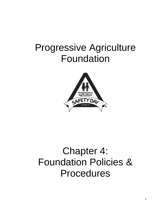## Progressive Agriculture Foundation



# Chapter 4: Foundation Policies & Procedures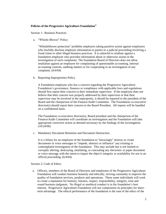## **Policies of the Progressive Agriculture Foundation®**

Section 1: Business Practices

a. "Whistle Blower" Policy

"Whistleblower protection" prohibits employers taking punitive action against employees who lawfully disclose employer information to parties in a judicial proceeding involving a fraud claim or other illegal business practices. It is unlawful to retaliate against a foundation employee who provides information about or otherwise assists in the investigation of such complaints. The foundation Board of Directors does not allow retaliation against an employee for complaining of questionable accounting, internal accounting controls, auditing matters or for cooperating in an investigation of any complaint. (6/4/04)

b. Reporting Improprieties Policy

A Foundation employee who has a concern regarding the Progressive Agriculture Foundation's governance, finances or compliance with applicable laws and regulations should first report their concern to their immediate supervisor. If the employee does not believe that their concern was properly addressed by their supervisor or that their supervisor may be involved in the impropriety, it should be reported to the president of the Board and the chairperson of the Finance/Audit Committee. The Foundation co-executive director(s) should report their concern to the Board President. All reports will be handled on a confidential basis.

The Foundation co-executive director(s), Board president and the chairperson of the Finance/Audit Committee will coordinate an investigation and the Foundation will take appropriate corrective action as deemed necessary by the findings of the investigation. (10/24/06)

c. Mandatory Document Retention and Document Destruction

It is a felony for an employee of the foundation to "knowingly" destroy or create documents or voice messages to "impede, obstruct or influence" any existing or contemplated investigation of the foundation. This may include but is not limited to corruptly altering, destroying, mutilating, or concealing any electronic or paper document or voice message with the intent to impair the object's integrity or availability for use in an official proceeding. (6/4/04)

Section 2: Code of Ethics

a. Officers, members of the Board of Directors and employees of the Progressive Agriculture Foundation will conduct business honestly and ethically, striving constantly to improve the quality of foundation services, products and operations. These same individuals will work to create a reputation for honesty, fairness, respect, responsibility, integrity, trust and sound business judgment. No illegal or unethical conduct is in the foundation's best interest. Progressive Agriculture Foundation will not compromise its principles for shortterm advantage. The ethical performance of the foundation is the sum of the ethics of the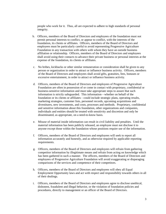people who work for it. Thus, all are expected to adhere to high standards of personal integrity.

- b. Officers, members of the Board of Directors and employees of the foundation must not permit personal interests to conflict, or appear to conflict, with the interests of the foundation, its clients or affiliates. Officers, members of the Board of Directors and employees must be particularly careful to avoid representing Progressive Agriculture Foundation in any transaction with others with whom they have an outside business affiliation or relationship. Officers, members of the Board of Directors and employees shall avoid using their contacts to advance their private business or personal interests at the expense of the foundation, its clients or affiliates.
- c. No bribes, kickbacks or other similar remuneration or consideration shall be given to any person or organization in order to attract or influence business activity. Officers, members of the Board of Directors and employees shall avoid gifts, gratuities, fees, bonuses or excessive entertainment, in order to attract or influence business activity.
- d. Officers, members of the Board of Directors and employees of Progressive Agriculture Foundation are often in possession of or come in contact with proprietary, confidential or business-sensitive information and must take appropriate steps to assure that such information is strictly safeguarded. This information—whether on behalf of the foundation or its clients or affiliates—could include strategic plans, operating results, marketing strategies, customer lists, personnel records, upcoming acquisitions and divestitures, new investments, and costs, processes and methods. Proprietary, confidential and sensitive information about this foundation, other organizations and companies, individuals and entities should be treated with sensitivity and discretion and only be disseminated, as appropriate, on a need-to-know basis.
- e. Misuse of material inside information can result in civil liability and penalties. Until the material information has been publicly released, an employee must not disclose it to anyone except those within the foundation whose positions require use of the information.
- f. Officers, members of the Board of Directors and employees will seek to report all information accurately and honestly, and as otherwise required by applicable reporting requirements.
- g. Officers, members of the Board of Directors and employees will refrain from gathering competitor information by illegitimate means and refrain from acting on knowledge which has been gathered in such a manner. The officers, members of the Board of Directors and employees of Progressive Agriculture Foundation will avoid exaggerating or disparaging comparisons of the services and competence of their competitors.
- h. Officers, members of the Board of Directors and employees will obey all Equal Employment Opportunity laws and act with respect and responsibility towards others in all of their dealings.
- i. Officers, members of the Board of Directors and employees agree to disclose unethical, dishonest, fraudulent and illegal behavior, or the violation of foundation policies and procedures, directly to management or an officer of the Board of Directors.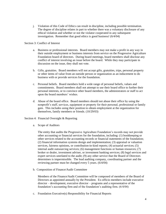j. Violation of this Code of Ethics can result in discipline, including possible termination. The degree of discipline relates in part to whether there was a voluntary disclosure of any ethical violation and whether or not the violator cooperated in any subsequent investigation. Remember that good ethics is good business! (6/4/04)

#### Section 3: Conflict of Interest

- a. Business or professional interests. Board members may not make a profit in any way in their outside employment or business interests from service on the Progressive Agriculture Foundation board of directors. During board meetings, board members shall disclose any conflict of interest involving an issue before the board. While they may participate in discussion on the issue, they shall not vote.
- b. Gifts, gratuities. Board members will not accept gifts, gratuities, trips, personal property or other items of value from an outside person or organization as an inducement to do business with or provide services for the foundation.
- c. Personal beliefs. Board members hold a wide range of personal beliefs, values and commitments. Board members shall not attempt to use their board office to further their personal interests, or to convince other board members, the administrators or staff to act upon the board members' wishes.
- d. Abuse of the board office. Board members should not abuse their office by using the nonprofit's staff, services, equipment or property for their personal, professional or family gain. This includes using their position to obtain employment at the organization for themselves, family members or friends. (10/29/03)
- Section 4: Financial Oversight & Reporting
	- a. Scope of Auditors

The entity that audits the Progressive Agriculture Foundation's records may not provide other accounting or financial services for the foundation, including: (1) bookkeeping or other services related to the accounting records or financial statements of the foundation; (2) financial information systems design and implementation; (3) appraisal or valuation services, fairness opinions, or contribution-in-kind reports; (4) actuarial services; (5) internal audit outsourcing services; (6) management functions or human resources; (7) broker or dealer, investment adviser, or investment banking services; (8) legal services and expert services unrelated to the audit; (9) any other service that the Board of Directors determines is impermissible. The lead auditing company, coordinating partner and the reviewing partner must be changed every 5 years. (6/4/04)

b. Composition of Finance/Audit Committee

Members of the Finance/Audit Committee will be composed of members of the Board of Directors as appointed annually by the President. Ex-officio members include executive director – development, executive director – programs and a representative of the foundation's accounting firm and of the foundation's auditing firm. (6/4/04)

c. Foundation Executive(s) Responsibility for Financial Reports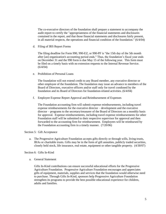The co-executive directors of the foundation shall prepare a statement to accompany the audit report to certify the "appropriateness of the financial statements and disclosures contained in the report, and that those financial statements and disclosures fairly present, in all material respects, the operations and financial condition of the foundation." (6/4/04)

d. Filing of IRS Report Forms

The filing deadline for Form 990, 990-EZ, or 990-PF is "the 15th day of the 5th month after [an] organization's accounting period ends." Thus, the foundation's fiscal year ends on December 31 and the 990 form is due May 15 of the following year. This form must be filed on a timely basis with no extension requests to the Internal Revenue Service. (6/4/04)

e. Prohibition of Personal Loans

The foundation will not extend credit to any Board member, any executive director or other employee of the foundation. The foundation may issue an advance to members of the Board of Directors, executive officers and/or staff only for travel condoned by the foundation and its Board of Directors for foundation-related activities. (6/4/04)

f. Employee Expense Report Approval and Reimbursement of Expenses

The Foundation accounting firm will submit expense reimbursements, including travel expense reimbursements for the executive director – development and the executive director – programs to the secretary/treasurer of the Board of Directors on a monthly basis for approval. Expense reimbursements, including travel expense reimbursements for other Foundation staff will be submitted to their respective supervisor for approval and then forwarded to the accounting firm for reimbursement. Employees will be reimbursed by the Foundation accounting firm in a timely manner. (7/20/06)

#### Section 5: Gift Acceptance

a. The Progressive Agriculture Foundation accepts gifts directly or through wills, living trusts, IRAs or charitable trusts. Gifts may be in the form of gift annuities, publicly traded securities, closely held stock, life insurance, real estate, equipment or other tangible property. (4/30/07)

#### Section 6: Gifts In-Kind

a. General Statement

Gifts In-Kind contributions can ensure successful educational efforts for the Progressive Agriculture Foundation. Progressive Agriculture Foundation encourages and appreciates gifts of equipment, materials, supplies and services that the foundation would otherwise need to purchase. Through Gifts In-Kind, sponsors help Progressive Agriculture Foundation strengthen its programs to provide the best possible educational experience for children, adults and families.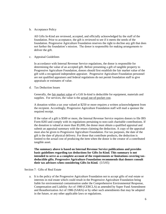b. Acceptance Policy

All Gifts In-Kind are reviewed, accepted, and officially acknowledged by the staff of the foundation. Prior to acceptance, the gift is reviewed to see if it meets the needs of the foundation. Progressive Agriculture Foundation reserves the right to decline any gift that does not further the foundation's mission. The donor is responsible for making arrangements to deliver the gift.

c. Appraisal Guidelines

In accordance with Internal Revenue Service regulations, the donor is responsible for determining the value of an accepted gift. Before presenting a gift of tangible property to Progressive Agriculture Foundation, donors should first establish the fair market value of the gift with a recognized independent appraiser. Progressive Agriculture Foundation personnel are not qualified appraisers and federal regulations do not permit foundation staff to give appraisals or estimates of value.

d. Tax Deduction Issues

Generally, the <u>fair market value</u> of a Gift In-kind is deductible for equipment, materials and supplies. For services, the value is the actual out-of-pocket cost.

A donation within a tax year valued at \$250 or more requires a written acknowledgment from the recipient. Accordingly, Progressive Agriculture Foundation staff will mail a sponsor the required receipt.

If the value of a gift is \$500 or more, the Internal Revenue Service requires donors to file IRS Form 8283 and comply with its regulations pertaining to non-cash charitable contributions. If the donation is valued at more than \$5,000, the donor must obtain a qualified appraisal and submit an appraisal summary with the return claiming the deduction. A copy of the appraisal must also be given to Progressive Agriculture Foundation. For tax purposes, the date of the gift is the date of physical delivery. For those that contribute products, the deduction is limited to the actual cost of producing the item when the donor is the creator of a contributed tangible asset.

**The summary above is based on Internal Revenue Service publications and provides basic guidelines regarding tax deductions for Gifts In-Kind. This summary is not intended to serve as a complete account of the requirements or limitations covering taxdeductible gifts. Progressive Agriculture Foundation recommends that donors consult their tax advisors when considering Gifts In-Kind.** (5/5/05)

Section 7: Gifts of Real Estate

a. It is the policy of the Progressive Agriculture Foundation not to accept gifts of real estate or interests in real estate which could result in the Progressive Agriculture Foundation being liable for environmental contamination under the Comprehensive Environmental Response, Compensation and Liability Act of 1980 (CERCLA) as amended by Super Fund Amendment and Reauthorization Act of 1986 (SARA) or by other such amendments that may be adopted in the future, or any other applicable laws or regulations.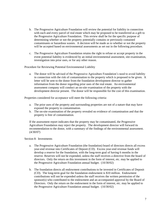- b. The Progressive Agriculture Foundation will review the potential for liability in connection with each and every parcel of real estate which may be proposed to be transferred as a gift to the Progressive Agriculture Foundation. This review shall be for the specific purpose of determining whether or not the property potentially contains or previously contained contaminants or hazardous wastes. A decision will be made as to whether or not the property will be accepted based on environmental assessments as set out in the following procedure.
- c. The Progressive Agriculture Foundation retains the right to refuse or accept property in the event potential liability is evidenced by an initial environmental assessment, site examination, investigation into prior uses, or for any other reason.

Procedure for Reviewing Potential Environmental Liability

a. The donor will be advised of the Progressive Agriculture Foundation's need to avoid liability in connection with the risk of contamination to the property which is proposed to be given. A letter will be sent to the donor from the foundation development director to gather information from the donor regarding prior uses of the real estate. An environmental assessment company will conduct an on-site examination of the property with the development director present. The donor will be responsible for the cost of this examination.

Properties considered for acceptance will meet the following criteria:

- a. The prior uses of the property and surrounding properties are not of a nature that may have exposed the property to contamination.
- b. The on-site examination of the property revealed no evidence of contamination and that the property is free of contamination.

If the assessment report indicates that the property may be contaminated, the Progressive Agriculture Foundation may reject the property. The development director will forward its recommendation to the donor, with a summary of the findings of the environmental assessment. (4/30/07)

#### Section 8: Investments

- a. The Progressive Agriculture Foundation (the foundation) board of directors directs all excess year-end revenue into Certificates of Deposit (CD). Excess year-end revenue funds will develop a reserve for the foundation, with the long-term goal of having 6 months in the reserve. Reserves will not be expended, unless the staff receives a directive from the board of directors. Only the return on this investment in the form of interest, etc. may be applied to the Progressive Agriculture Foundation annual budget. (10/30/02)
- b. The foundation directs all endowment contributions to be invested in Certificates of Deposit (CD). The long-term goal for the foundation endowment is \$10 million. Endowment contributions will not be expended unless the staff receives the written permission of the sponsor(s) who contributed to the endowment and an accompanied approval by the Board of Directors. Only the return on the endowment in the form of interest, etc. may be applied to the Progressive Agriculture Foundation annual budget. (10/30/02)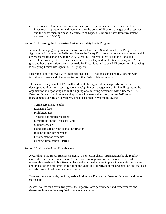c. The Finance Committee will review these policies periodically to determine the best investment opportunities and recommend to the board of directors changes as the reserves and the endowment increase. Certificates of Deposit (CD) are a short-term investment approach. (10/30/02)

#### Section 9: Licensing the Progressive Agriculture Safety Day® Program

In lieu of managing programs in countries other than the U.S. and Canada, the Progressive Agriculture Foundation® (PAF) may license the Safety Day program, its name and logos, which are registered trademarks with the U.S. Patent and Trademark Office and the Canadian Intellectual Property Office. Licenses protect proprietary and intellectual property of PAF and give another organization permission to do PAF activities and to use PAF properties. Licensing is assigning limited use rights for PAF property.

Licensing is only allowed with organizations that PAF has an established relationship with including sponsors and other organizations that PAF collaborates with.

The senior management of PAF will work with the organization's legal advisor in the development of written licensing agreement(s). Senior management of PAF will represent the organization in negotiating and in the signing of a licensing agreement with a licensee. The Board of Directors will review and approve a licensee and territory before PAF senior management executes an agreement. The license shall cover the following:

- Term (agreement length)
- $\bullet$  Licensing fee(s)
- Prohibited uses
- Transfer and sublicense rights
- Limitations on the licensor's liability
- Support services
- Nondisclosure of confidential information
- [Indemnity](http://research.lawyers.com/glossary/indemnity.html) for [infringement](http://research.lawyers.com/glossary/infringement.html)
- Enforcement of remedies
- Contract termination  $(4/18/11)$

Section 10: Organizational Effectiveness

According to the Better Business Bureau, "a non-profit charity organization should regularly assess its effectiveness in achieving its mission. An organization needs to have defined, measurable goals and objectives in place and a defined process in place to evaluate the success and impact of its program(s) in fulfilling the goals and objectives of the organization and that also identifies ways to address any deficiencies."

To meet these standards, the Progressive Agriculture Foundation Board of Directors and senior staff shall:

Assess, no less than every two years, the organization's performance and effectiveness and determine future actions required to achieve its mission.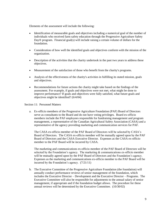Elements of the assessment will include the following:

- Identification of measurable goals and objectives including a numerical goal of the number of individuals who received farm safety education through the Progressive Agriculture Safety Day® program. Financial goal(s) will include raising a certain volume of dollars for the foundation.
- Consideration of how well the identified goals and objectives conform with the mission of the organization.
- Description of the activities that the charity undertook in the past two years to address these objectives.
- Measurement of the satisfaction of those who benefit from the charity's programs.
- Analysis of the effectiveness of the charity's activities in fulfilling its stated mission, goals and objectives.
- Recommendations for future actions the charity might take based on the findings of the assessment. For example, if goals and objectives were not met, what might be done to improve performance? If goals and objectives were fully satisfied, what future goals and objectives might be identified? (6/4/04)

Section 11: Personnel Matters

a. Ex-officio members of the Progressive Agriculture Foundation (PAF) Board of Directors serve as consultants to the Board and do not have voting privileges. Board ex-officio members include the PAF employees responsible for fundraising management and program management, a representative of the Canadian Agricultural Safety Association (CASA) and a representative of the agency providing marketing and communication services for PAF.

The CASA ex-officio member of the PAF Board of Directors will be selected by CASA's Board of Directors. The CASA ex-officio member will be mutually agreed upon by the PAF Board of Directors and the CASA Executive Director. Expenses as the CASA ex-officio member to the PAF Board will be incurred by CASA.

The marketing and communications ex-officio member of the PAF Board of Directors will be selected by the Foundation's agency. The marketing  $\&$  communications ex-officio member will be mutually agreed upon by the PAF Board of Directors and the Foundation's agency. Expenses as the marketing and communications ex-officio member to the PAF Board will be incurred by the Foundation's agency. (7/21/11)

b. The Executive Committee of the Progressive Agriculture Foundation (the foundation) will annually conduct performance reviews of senior management of the foundation, which includes the Executive Director – Development and the Executive Director – Programs. The Executive Committee will also be responsible for adjustments to the annual salary of senior management, if appropriate and if the foundation budget allows. The procedure for these annual reviews will be determined by the Executive Committee. (10/30/02)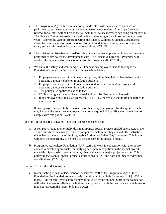- c. The Progressive Agriculture Foundation provides staff with salary increases based on performance, as measured through an annual performance review. Annual performance reviews for all staff will be held in the fall with merit salary increases occurring on January 1. The Finance Committee establishes and reviews salary ranges for all positions every three years. Prior to the October Board meeting, the Finance Committee annually establishes allowable percentages for merit increases for all Foundation positions, based on a review of salary survey information for comparable positions. (7/21/08)
- d. The Chief Administrative Officer/Executive Director Development will conduct the annual performance review for the development staff. The Executive Director – Programs will conduct the annual performance reviews for the program staff. (7/21/08)
- e. We value the safety and well-being of all Foundation employees. The following is the Foundation's policy on the use of cell phones while driving.
	- 1. Employees are not permitted to use a cell phone, either handheld or hands-free, while operating a motor vehicle on foundation business.
	- 2. Employees are not permitted to read or respond to e-mails or text messages while operating a motor vehicle on foundation business.
	- 3. This policy also applies to use of PDAs.
	- 4. While driving, calls cannot be answered and must be directed to voice mail.
	- 5. If an employee must make an emergency call (911), the vehicle should first be parked in a safe location.

If an employee is found to be in violation of this policy it is grounds for discipline, which may include dismissal. An employee signature is required and certifies their agreement to comply with this policy. (7/21/10)

Section 12: Sponsored Programs – Special Project Sponsor Credit

- a. A company, foundation or individual may sponsor special projects including chapters in the Topics and Activities manual, revised components within the chapters and other activities that enhance the mission of the Progressive Agriculture Safety Day® program. This funder will have the opportunity to be listed as the sponsor of the special project.
- b. Progressive Agriculture Foundation (PAF) staff will work in cooperation with the sponsor contact to develop appropriate, mutually agreed upon, recognition on the special project materials. Sponsorship recognition may change due to any major project revision. This policy impacts annual special project contributions to PAF and does not impact endowment contributions. (7/24/12)

Section 13: Vendors & Contracts

a. In contracting with an outside vendor for services, staff of the Progressive Agriculture Foundation (the foundation) must obtain a minimum of two bids for contracts of \$1,000 or more. Bids for multi-year contracts may be solicited from vendors. Staff of the foundation will select the vendor offering the highest quality product with the best service, which may or may not represent the lowest bid. (10/30/02)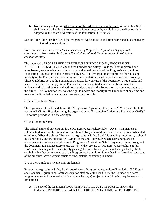b. No pecuniary obligation which is out of the ordinary course of business of more than \$5,000 shall be undertaken by the foundation without sanction by resolution of the directors duly adopted by the board of directors of the foundation. (10/30/02)

Section 14: Guidelines for Use of the Progressive Agriculture Foundation Name and Trademarks by Coordinators and Staff

*Note: these Guidelines are for the exclusive use of Progressive Agriculture Safety Day® coordinators, Progressive Agriculture Foundation staff and Canadian Agricultural Safety Association staff.*

The trademarks PROGRESSIVE AGRICULTURE FOUNDATION®, PROGRESSIVE AGRICULTURE SAFETY DAY® and the Foundation's Safety Day logos, both registered and unregistered, are the valuable and important intellectual property of the Progressive Agriculture Foundation (Foundation) and are protected by law. It is important that you protect the value and integrity of the Foundation's trademarks and the Foundation's legal name by using them properly. These Guidelines set out the Foundation's policies for your use of the Foundation's trademarks and name. The Guidelines apply to the Foundation's name and trademarks described above, the trademarks displayed below, and additional trademarks that the Foundation may develop and use in the future. The Foundation reserves the right to update and modify these Guidelines at any time and to act as the Foundation deems necessary to protect its rights.

## Official Foundation Name

The legal name of the Foundation is the "Progressive Agriculture Foundation." You may refer to the acronym PAF after first identifying the organization as "Progressive Agriculture Foundation (PAF)." Do not use periods within the acronym.

## Official Program Name

The official name of our program is the Progressive Agriculture Safety Day®. This name is a valuable trademark of the Foundation and should always be used in its entirety, with no words added or left out. When the phrase "Progressive Agriculture Safety Day®" is used in printed form, it should be identified by and include the "®" symbol at the end. However, where a brochure, article, advertisement or other material refers to Progressive Agriculture Safety Day many times throughout the document, it is not necessary to use the "®" with every use of "Progressive Agriculture Safety Day", since this may not be aesthetically pleasing, but in such cases you should always display the ® symbol with a few prominent uses of the Progressive Agriculture Safety Day® trademark on each page of the brochure, advertisement, article or other material containing this mark.

## Use of the Foundation's Name and Trademarks

Progressive Agriculture Safety Day® coordinators, Progressive Agriculture Foundation (PAF) staff and Canadian Agricultural Safety Association staff are authorized to use the Foundation's name, program names and trademarks (which include its logos) subject to the following requirements and limitations:

A. The use of the legal name PROGRESSIVE AGRICULTURE FOUNDATION, the trademarks PROGRESSIVE AGRICULTURE FOUNDATION®, and PROGRESSIVE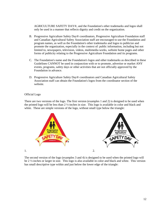AGRICULTURE SAFETY DAY®, and the Foundation's other trademarks and logos shall only be used in a manner that reflects dignity and credit on the organization.

- B. Progressive Agriculture Safety Day® coordinators, Progressive Agriculture Foundation staff and Canadian Agricultural Safety Association staff are encouraged to use the Foundation and program names, as well as the Foundation's other trademarks and logos to publicize and promote the organization, especially in the context of: public information, including but not limited to, newspapers, television, videos, multimedia works, website home pages and other forms of publicity relating to the Progressive Agriculture Foundation and its programs.
- C. The Foundation's name and the Foundation's logos and other trademarks as described in these Guidelines CANNOT be used in conjunction with or to promote, advertise or market ANY events, programs, safety days or other activities that are not officially approved by the Foundation in advance.
- D. Progressive Agriculture Safety Day® coordinators and Canadian Agricultural Safety Association staff can obtain the Foundation's logos from the coordinator section of the website.

## Official Logo

There are two versions of the logo. The first version (examples 1 and 2) is designed to be used when the printed logo will be less than 2 ½-inches in size. This logo is available in color and black and white. These are simple versions of the logo, without small type below the triangle:



The second version of the logo (examples 3 and 4) is designed to be used when the printed logo will be 2 ½-inches or larger in size. This logo is also available in color and black and white. This version has small descriptive type within and just below the lower edge of the triangle: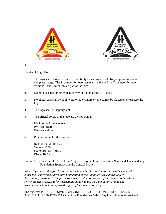

Details of Logo Use

- 1. The logo shall always be used in its entirety meaning it shall always appear as a whole, complete image. The  $\mathcal{D}$  symbol for logo versions 1 and 2 and the ™ symbol for logo versions 3 and 4 must remain part of the logo.
- 2. Do not place text or other images over or on top of the PAF logo.
- 3. No photo, drawing, symbol, word or other figure or object may be placed on or obscure the logo.
- 4. The logo shall be kept upright.
- 5. The official colors of the logo are the following:

PMS colors for the logo are: PMS 185 (red) Pantone Yellow

6. Process colors for the logo are:

Red: 100%-M, 100%-Y Yellow: 100% Gold: 20%-M, 100%Y Black: 100%

Section 15: Guidelines for Use of the Progressive Agriculture Foundation Name and Trademarks by Foundation Sponsors and the General Public

*Note: If you are a Progressive Agriculture Safety Day® coordinator or a staff member of either the Progressive Agriculture Foundation or the Canadian Agricultural Safety Association, please go to the pass-protected coordinator section of the Foundation's website (*[www.progressiveag.org](http://www.progressiveag.org/)*) for instructions on how to use the Foundation's name and trademarks or to obtain approved copies of the Foundation's logos.*

The trademarks PROGRESSIVE AGRICULTURE FOUNDATION®, PROGRESSIVE AGRICULTURE SAFETY DAY® and the Foundation's Safety Day logos, both registered and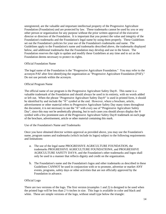unregistered, are the valuable and important intellectual property of the Progressive Agriculture Foundation (Foundation) and are protected by law. These trademarks cannot be used by you or any other person or organization for any purpose without the prior written approval of the executive director or directors of the Foundation. It is important that you protect the value and integrity of the Foundation's trademarks and the Foundation's legal name by using them properly. These Guidelines set out the Foundation's policies for your use of the Foundation's trademarks and name. The Guidelines apply to the Foundation's name and trademarks described above, the trademarks displayed below, and additional trademarks that the Foundation may develop and use in the future. The Foundation reserves the right to update and modify these Guidelines at any time and to act as the Foundation deems necessary to protect its rights.

#### Official Foundation Name

The legal name of the Foundation is the "Progressive Agriculture Foundation." You may refer to the acronym PAF after first identifying the organization as "Progressive Agriculture Foundation (PAF)." Do not use periods within the acronym.

## Official Program Name

The official name of our program is the Progressive Agriculture Safety Day®. This name is a valuable trademark of the Foundation and should always be used in its entirety, with no words added or left out. When the phrase "Progressive Agriculture Safety Day®" is used in printed form, it should be identified by and include the "®" symbol at the end. However, where a brochure, article, advertisement or other material refers to Progressive Agriculture Safety Day many times throughout the document, it is not necessary to use the "®" with every use of "Progressive Agriculture Safety Day", since this may not be aesthetically pleasing, but in such cases you should always display the ® symbol with a few prominent uses of the Progressive Agriculture Safety Day® trademark on each page of the brochure, advertisement, article or other material containing this mark.

#### Use of the Foundation's Name and Trademarks

Once you have obtained director written approval as provided above, you may use the Foundation's name, program names and trademarks (which include its logos) subject to the following requirements and limitations:

- a. The use of the legal name PROGRESSIVE AGRICULTURE FOUNDATION, the trademarks PROGRESSIVE AGRICULTURE FOUNDATION®, and PROGRESSIVE AGRICULTURE SAFETY DAY®, and the Foundation's other trademarks and logos shall only be used in a manner that reflects dignity and credit on the organization.
- b. The Foundation's name and the Foundation's logos and other trademarks as described in these Guidelines CANNOT be used in conjunction with or to promote, advertise or market ANY events, programs, safety days or other activities that are not officially approved by the Foundation in advance.

## Official Logo

There are two versions of the logo. The first version (examples 1 and 2) is designed to be used when the printed logo will be less than 2 ½-inches in size. This logo is available in color and black and white. These are simple versions of the logo, without small type below the triangle: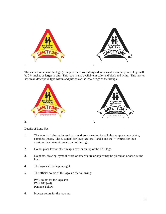

The second version of the logo (examples 3 and 4) is designed to be used when the printed logo will be 2 ½-inches or larger in size. This logo is also available in color and black and white. This version has small descriptive type within and just below the lower edge of the triangle:



Details of Logo Use

- 1. The logo shall always be used in its entirety meaning it shall always appear as a whole, complete image. The  $\circledR$  symbol for logo versions 1 and 2 and the <sup>™</sup> symbol for logo versions 3 and 4 must remain part of the logo.
- 2. Do not place text or other images over or on top of the PAF logo.
- 3. No photo, drawing, symbol, word or other figure or object may be placed on or obscure the logo.
- 4. The logo shall be kept upright.
- 5. The official colors of the logo are the following:

PMS colors for the logo are: PMS 185 (red) Pantone Yellow

6. Process colors for the logo are: